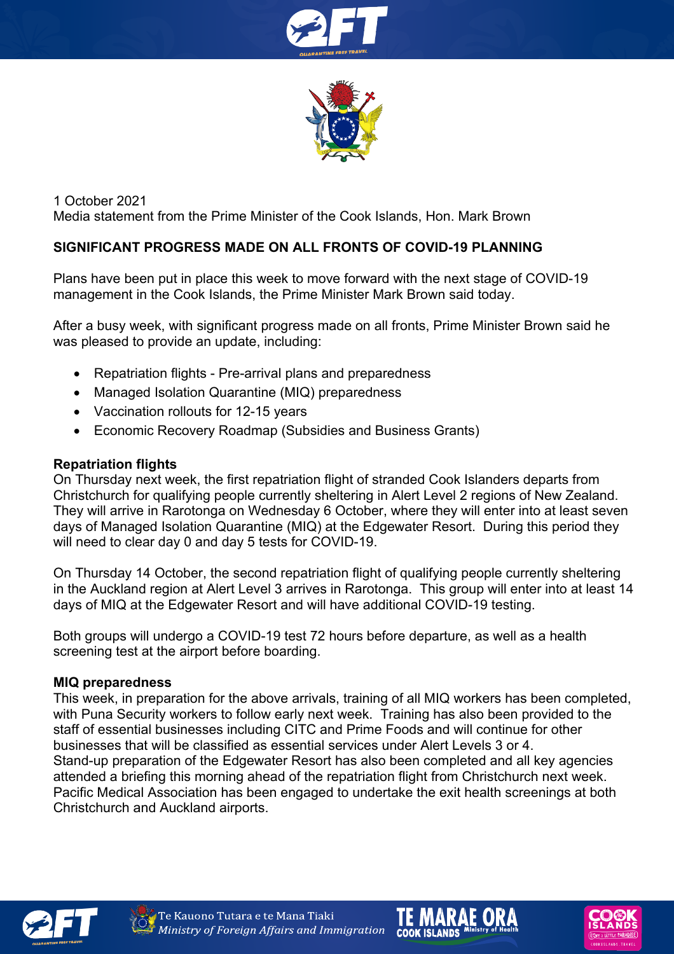



1 October 2021 Media statement from the Prime Minister of the Cook Islands, Hon. Mark Brown

## **SIGNIFICANT PROGRESS MADE ON ALL FRONTS OF COVID-19 PLANNING**

Plans have been put in place this week to move forward with the next stage of COVID-19 management in the Cook Islands, the Prime Minister Mark Brown said today.

After a busy week, with significant progress made on all fronts, Prime Minister Brown said he was pleased to provide an update, including:

- Repatriation flights Pre-arrival plans and preparedness
- Managed Isolation Quarantine (MIQ) preparedness
- Vaccination rollouts for 12-15 years
- Economic Recovery Roadmap (Subsidies and Business Grants)

#### **Repatriation flights**

On Thursday next week, the first repatriation flight of stranded Cook Islanders departs from Christchurch for qualifying people currently sheltering in Alert Level 2 regions of New Zealand. They will arrive in Rarotonga on Wednesday 6 October, where they will enter into at least seven days of Managed Isolation Quarantine (MIQ) at the Edgewater Resort. During this period they will need to clear day 0 and day 5 tests for COVID-19.

On Thursday 14 October, the second repatriation flight of qualifying people currently sheltering in the Auckland region at Alert Level 3 arrives in Rarotonga. This group will enter into at least 14 days of MIQ at the Edgewater Resort and will have additional COVID-19 testing.

Both groups will undergo a COVID-19 test 72 hours before departure, as well as a health screening test at the airport before boarding.

#### **MIQ preparedness**

This week, in preparation for the above arrivals, training of all MIQ workers has been completed, with Puna Security workers to follow early next week. Training has also been provided to the staff of essential businesses including CITC and Prime Foods and will continue for other businesses that will be classified as essential services under Alert Levels 3 or 4. Stand-up preparation of the Edgewater Resort has also been completed and all key agencies attended a briefing this morning ahead of the repatriation flight from Christchurch next week. Pacific Medical Association has been engaged to undertake the exit health screenings at both Christchurch and Auckland airports.







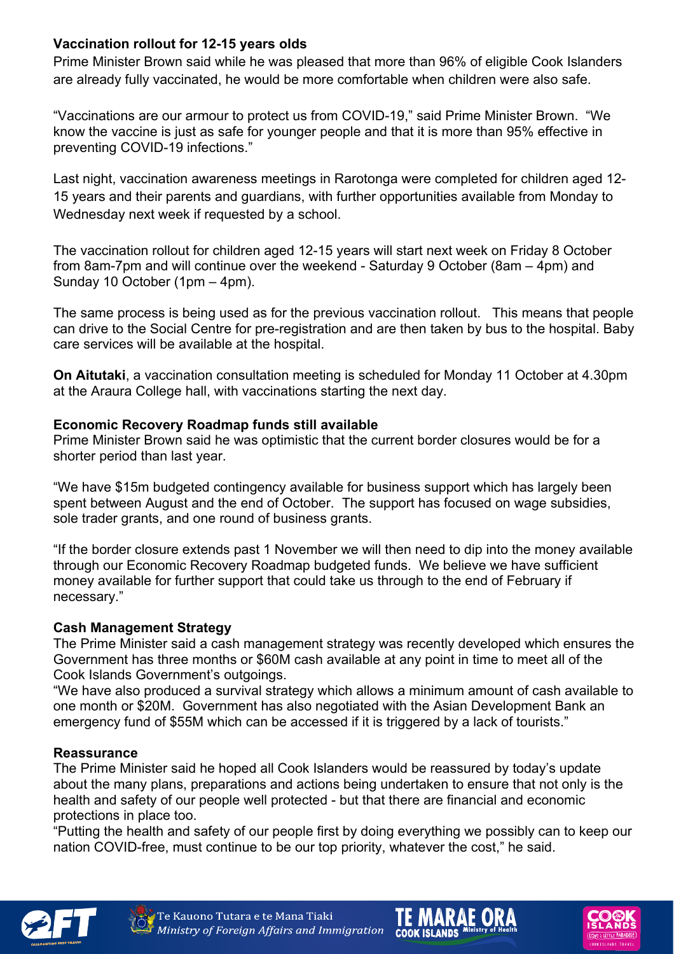# **Vaccination rollout for 12-15 years olds**

Prime Minister Brown said while he was pleased that more than 96% of eligible Cook Islanders are already fully vaccinated, he would be more comfortable when children were also safe.

"Vaccinations are our armour to protect us from COVID-19," said Prime Minister Brown. "We know the vaccine is just as safe for younger people and that it is more than 95% effective in preventing COVID-19 infections."

Last night, vaccination awareness meetings in Rarotonga were completed for children aged 12- 15 years and their parents and guardians, with further opportunities available from Monday to Wednesday next week if requested by a school.

The vaccination rollout for children aged 12-15 years will start next week on Friday 8 October from 8am-7pm and will continue over the weekend - Saturday 9 October (8am – 4pm) and Sunday 10 October (1pm – 4pm).

The same process is being used as for the previous vaccination rollout. This means that people can drive to the Social Centre for pre-registration and are then taken by bus to the hospital. Baby care services will be available at the hospital.

**On Aitutaki**, a vaccination consultation meeting is scheduled for Monday 11 October at 4.30pm at the Araura College hall, with vaccinations starting the next day.

## **Economic Recovery Roadmap funds still available**

Prime Minister Brown said he was optimistic that the current border closures would be for a shorter period than last year.

"We have \$15m budgeted contingency available for business support which has largely been spent between August and the end of October. The support has focused on wage subsidies, sole trader grants, and one round of business grants.

"If the border closure extends past 1 November we will then need to dip into the money available through our Economic Recovery Roadmap budgeted funds. We believe we have sufficient money available for further support that could take us through to the end of February if necessary."

### **Cash Management Strategy**

The Prime Minister said a cash management strategy was recently developed which ensures the Government has three months or \$60M cash available at any point in time to meet all of the Cook Islands Government's outgoings.

"We have also produced a survival strategy which allows a minimum amount of cash available to one month or \$20M. Government has also negotiated with the Asian Development Bank an emergency fund of \$55M which can be accessed if it is triggered by a lack of tourists."

### **Reassurance**

The Prime Minister said he hoped all Cook Islanders would be reassured by today's update about the many plans, preparations and actions being undertaken to ensure that not only is the health and safety of our people well protected - but that there are financial and economic protections in place too.

"Putting the health and safety of our people first by doing everything we possibly can to keep our nation COVID-free, must continue to be our top priority, whatever the cost," he said.